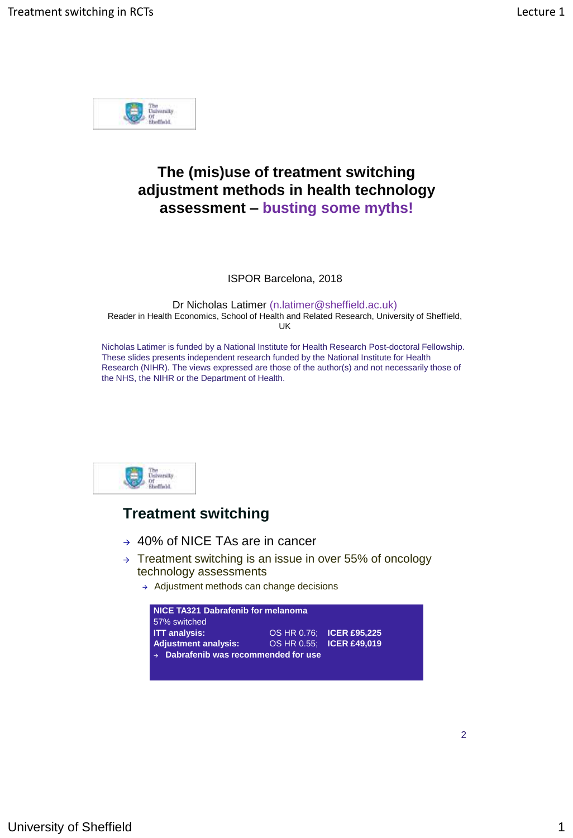

# **The (mis)use of treatment switching adjustment methods in health technology assessment – busting some myths!**

ISPOR Barcelona, 2018

Dr Nicholas Latimer (n.latimer@sheffield.ac.uk) Reader in Health Economics, School of Health and Related Research, University of Sheffield, UK

Nicholas Latimer is funded by a National Institute for Health Research Post-doctoral Fellowship. These slides presents independent research funded by the National Institute for Health Research (NIHR). The views expressed are those of the author(s) and not necessarily those of the NHS, the NIHR or the Department of Health.



#### **Treatment switching**

- 40% of NICE TAs are in cancer
- $\rightarrow$  Treatment switching is an issue in over 55% of oncology technology assessments
	- $\rightarrow$  Adjustment methods can change decisions



2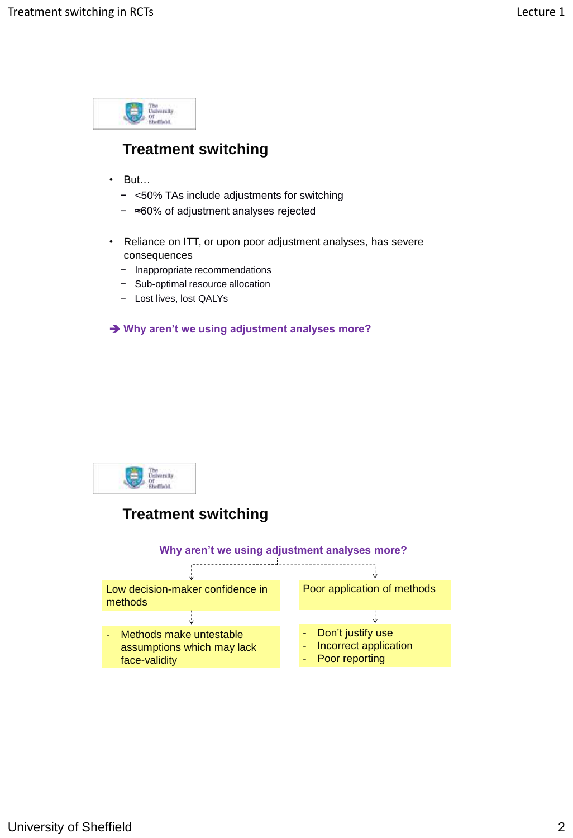

## **Treatment switching**

- But…
	- − <50% TAs include adjustments for switching
	- − ≈60% of adjustment analyses rejected
- Reliance on ITT, or upon poor adjustment analyses, has severe consequences
	- − Inappropriate recommendations
	- − Sub-optimal resource allocation
	- − Lost lives, lost QALYs

**Why aren't we using adjustment analyses more?**



#### **Treatment switching**

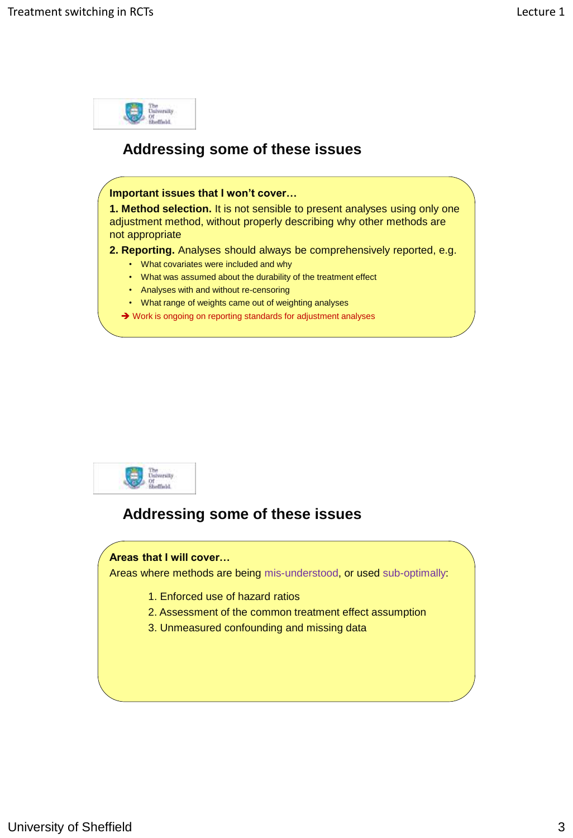



#### **Addressing some of these issues**

#### **Areas that I will cover…**

Areas where methods are being mis-understood, or used sub-optimally:

- 1. Enforced use of hazard ratios
- 2. Assessment of the common treatment effect assumption
- 3. Unmeasured confounding and missing data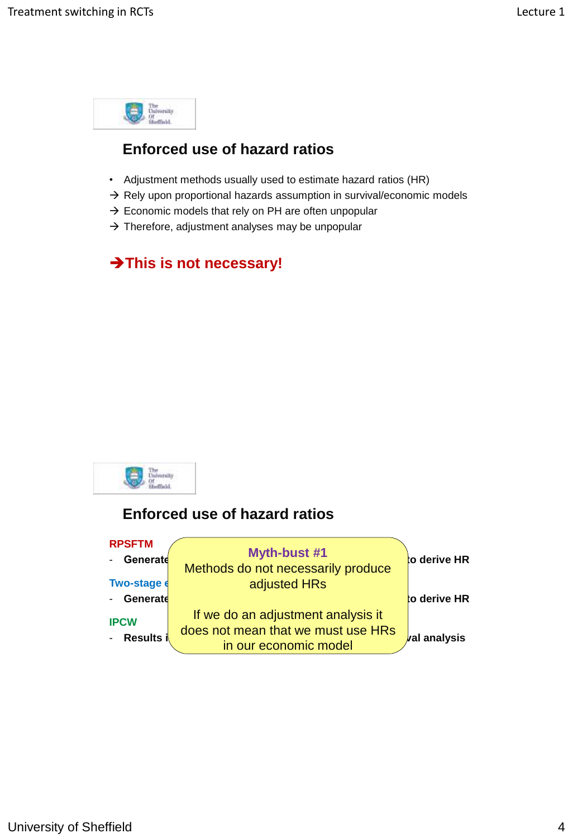

# **Enforced use of hazard ratios**

- Adjustment methods usually used to estimate hazard ratios (HR)
- $\rightarrow$  Rely upon proportional hazards assumption in survival/economic models
- $\rightarrow$  Economic models that rely on PH are often unpopular
- $\rightarrow$  Therefore, adjustment analyses may be unpopular

# **This is not necessary!**



## **Enforced use of hazard ratios**

| <b>RPSFTM</b> |                                                             |                     |
|---------------|-------------------------------------------------------------|---------------------|
| Generate      | <b>Myth-bust #1</b><br>Methods do not necessarily produce   | to derive HR        |
| Two-stage e   | adjusted HRs                                                |                     |
| Generate      |                                                             | to derive HR        |
| <b>IPCW</b>   | If we do an adjustment analysis it                          |                     |
| Results i     | does not mean that we must use HRs<br>in our economic model | <b>val analysis</b> |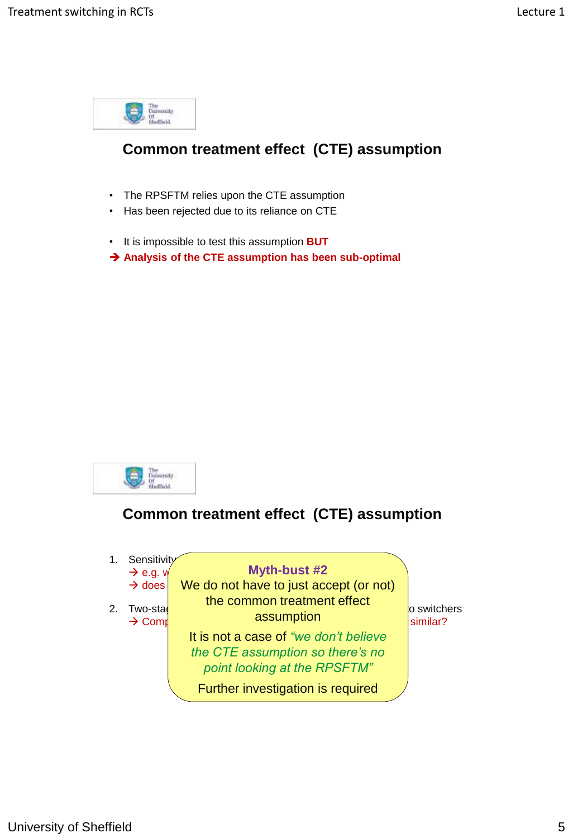

# **Common treatment effect (CTE) assumption**

- The RPSFTM relies upon the CTE assumption
- Has been rejected due to its reliance on CTE
- It is impossible to test this assumption **BUT**
- **Analysis of the CTE assumption has been sub-optimal**



## **Common treatment effect (CTE) assumption**

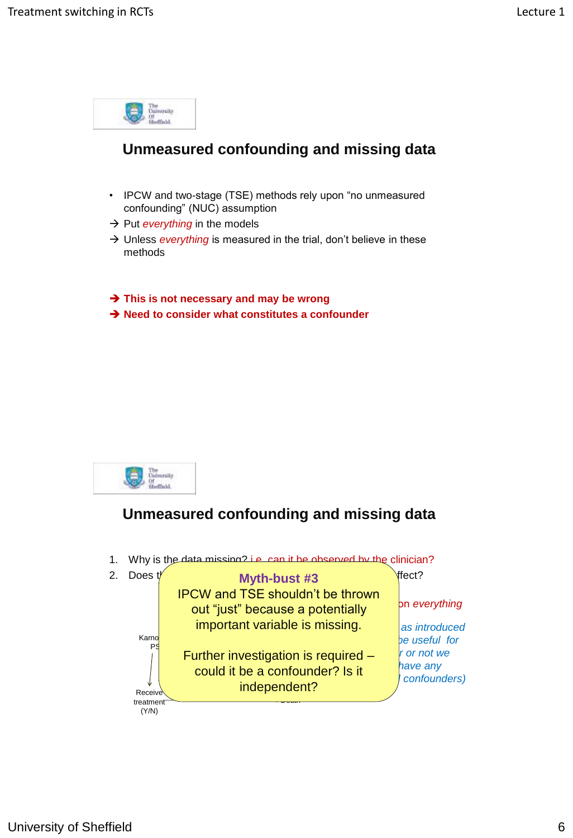



# **Unmeasured confounding and missing data**

1. Why is the data missing? i.e. can it be observed by the clinician?